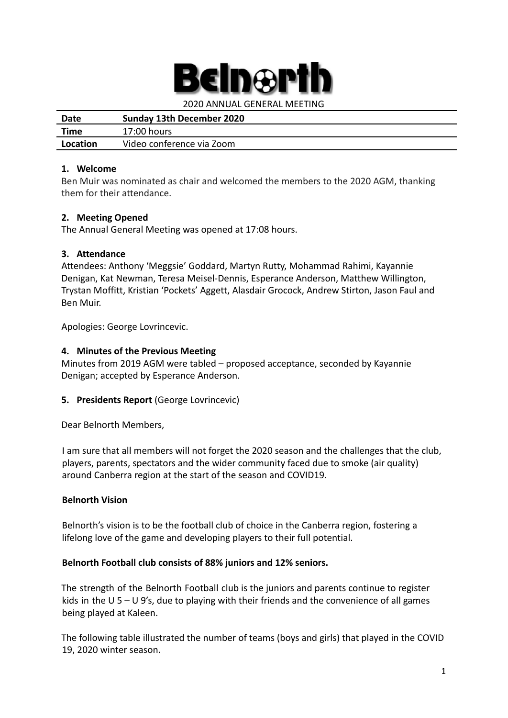# Inar

2020 ANNUAL GENERAL MEETING

| Date     | Sunday 13th December 2020 |
|----------|---------------------------|
| Time     | 17:00 hours               |
| Location | Video conference via Zoom |

#### **1. Welcome**

Ben Muir was nominated as chair and welcomed the members to the 2020 AGM, thanking them for their attendance.

## **2. Meeting Opened**

The Annual General Meeting was opened at 17:08 hours.

#### **3. Attendance**

Attendees: Anthony 'Meggsie' Goddard, Martyn Rutty, Mohammad Rahimi, Kayannie Denigan, Kat Newman, Teresa Meisel-Dennis, Esperance Anderson, Matthew Willington, Trystan Moffitt, Kristian 'Pockets' Aggett, Alasdair Grocock, Andrew Stirton, Jason Faul and Ben Muir.

Apologies: George Lovrincevic.

#### **4. Minutes of the Previous Meeting**

Minutes from 2019 AGM were tabled – proposed acceptance, seconded by Kayannie Denigan; accepted by Esperance Anderson.

## **5. Presidents Report** (George Lovrincevic)

Dear Belnorth Members,

I am sure that all members will not forget the 2020 season and the challenges that the club, players, parents, spectators and the wider community faced due to smoke (air quality) around Canberra region at the start of the season and COVID19.

## **Belnorth Vision**

Belnorth's vision is to be the football club of choice in the Canberra region, fostering a lifelong love of the game and developing players to their full potential.

#### **Belnorth Football club consists of 88% juniors and 12% seniors.**

The strength of the Belnorth Football club is the juniors and parents continue to register kids in the U 5 – U 9's, due to playing with their friends and the convenience of all games being played at Kaleen.

The following table illustrated the number of teams (boys and girls) that played in the COVID 19, 2020 winter season.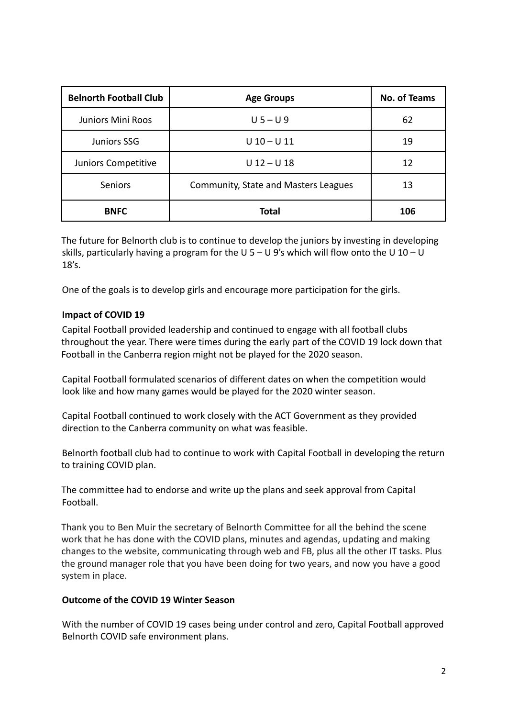| <b>Belnorth Football Club</b> | <b>Age Groups</b>                           | <b>No. of Teams</b> |
|-------------------------------|---------------------------------------------|---------------------|
| <b>Juniors Mini Roos</b>      | $U$ 5 – U 9                                 | 62                  |
| <b>Juniors SSG</b>            | $U$ 10 – U 11                               | 19                  |
| Juniors Competitive           | $U$ 12 - U 18                               | 12                  |
| <b>Seniors</b>                | <b>Community, State and Masters Leagues</b> | 13                  |
| <b>BNFC</b>                   | <b>Total</b>                                | 106                 |

The future for Belnorth club is to continue to develop the juniors by investing in developing skills, particularly having a program for the U 5 – U 9's which will flow onto the U 10 – U 18's.

One of the goals is to develop girls and encourage more participation for the girls.

#### **Impact of COVID 19**

Capital Football provided leadership and continued to engage with all football clubs throughout the year. There were times during the early part of the COVID 19 lock down that Football in the Canberra region might not be played for the 2020 season.

Capital Football formulated scenarios of different dates on when the competition would look like and how many games would be played for the 2020 winter season.

Capital Football continued to work closely with the ACT Government as they provided direction to the Canberra community on what was feasible.

Belnorth football club had to continue to work with Capital Football in developing the return to training COVID plan.

The committee had to endorse and write up the plans and seek approval from Capital Football.

Thank you to Ben Muir the secretary of Belnorth Committee for all the behind the scene work that he has done with the COVID plans, minutes and agendas, updating and making changes to the website, communicating through web and FB, plus all the other IT tasks. Plus the ground manager role that you have been doing for two years, and now you have a good system in place.

#### **Outcome of the COVID 19 Winter Season**

With the number of COVID 19 cases being under control and zero, Capital Football approved Belnorth COVID safe environment plans.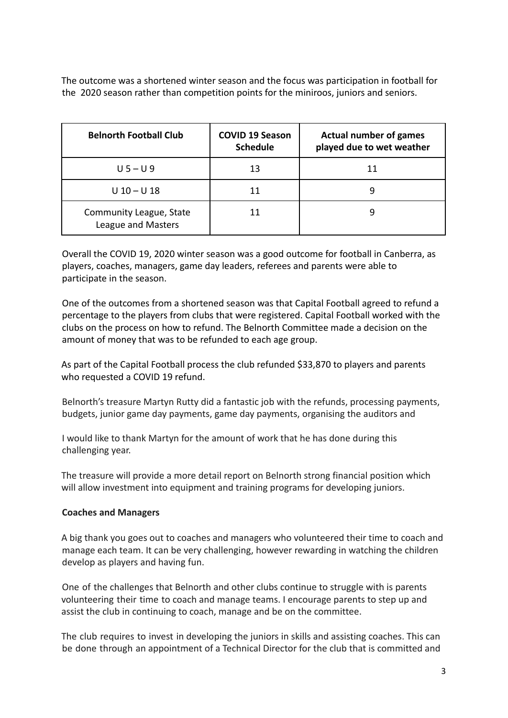The outcome was a shortened winter season and the focus was participation in football for the 2020 season rather than competition points for the miniroos, juniors and seniors.

| <b>Belnorth Football Club</b>                 | <b>COVID 19 Season</b><br><b>Schedule</b> | <b>Actual number of games</b><br>played due to wet weather |
|-----------------------------------------------|-------------------------------------------|------------------------------------------------------------|
| $U$ 5 – U 9                                   | 13                                        | 11                                                         |
| $U$ 10 - U 18                                 |                                           | 9                                                          |
| Community League, State<br>League and Masters |                                           | 9                                                          |

Overall the COVID 19, 2020 winter season was a good outcome for football in Canberra, as players, coaches, managers, game day leaders, referees and parents were able to participate in the season.

One of the outcomes from a shortened season was that Capital Football agreed to refund a percentage to the players from clubs that were registered. Capital Football worked with the clubs on the process on how to refund. The Belnorth Committee made a decision on the amount of money that was to be refunded to each age group.

As part of the Capital Football process the club refunded \$33,870 to players and parents who requested a COVID 19 refund.

Belnorth's treasure Martyn Rutty did a fantastic job with the refunds, processing payments, budgets, junior game day payments, game day payments, organising the auditors and

I would like to thank Martyn for the amount of work that he has done during this challenging year.

The treasure will provide a more detail report on Belnorth strong financial position which will allow investment into equipment and training programs for developing juniors.

## **Coaches and Managers**

A big thank you goes out to coaches and managers who volunteered their time to coach and manage each team. It can be very challenging, however rewarding in watching the children develop as players and having fun.

One of the challenges that Belnorth and other clubs continue to struggle with is parents volunteering their time to coach and manage teams. I encourage parents to step up and assist the club in continuing to coach, manage and be on the committee.

The club requires to invest in developing the juniors in skills and assisting coaches. This can be done through an appointment of a Technical Director for the club that is committed and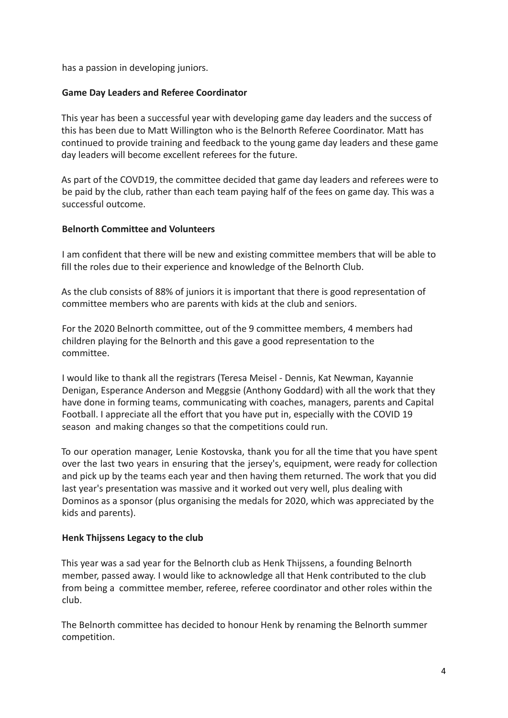has a passion in developing juniors.

## **Game Day Leaders and Referee Coordinator**

This year has been a successful year with developing game day leaders and the success of this has been due to Matt Willington who is the Belnorth Referee Coordinator. Matt has continued to provide training and feedback to the young game day leaders and these game day leaders will become excellent referees for the future.

As part of the COVD19, the committee decided that game day leaders and referees were to be paid by the club, rather than each team paying half of the fees on game day. This was a successful outcome.

#### **Belnorth Committee and Volunteers**

I am confident that there will be new and existing committee members that will be able to fill the roles due to their experience and knowledge of the Belnorth Club.

As the club consists of 88% of juniors it is important that there is good representation of committee members who are parents with kids at the club and seniors.

For the 2020 Belnorth committee, out of the 9 committee members, 4 members had children playing for the Belnorth and this gave a good representation to the committee.

I would like to thank all the registrars (Teresa Meisel - Dennis, Kat Newman, Kayannie Denigan, Esperance Anderson and Meggsie (Anthony Goddard) with all the work that they have done in forming teams, communicating with coaches, managers, parents and Capital Football. I appreciate all the effort that you have put in, especially with the COVID 19 season and making changes so that the competitions could run.

To our operation manager, Lenie Kostovska, thank you for all the time that you have spent over the last two years in ensuring that the jersey's, equipment, were ready for collection and pick up by the teams each year and then having them returned. The work that you did last year's presentation was massive and it worked out very well, plus dealing with Dominos as a sponsor (plus organising the medals for 2020, which was appreciated by the kids and parents).

#### **Henk Thijssens Legacy to the club**

This year was a sad year for the Belnorth club as Henk Thijssens, a founding Belnorth member, passed away. I would like to acknowledge all that Henk contributed to the club from being a committee member, referee, referee coordinator and other roles within the club.

The Belnorth committee has decided to honour Henk by renaming the Belnorth summer competition.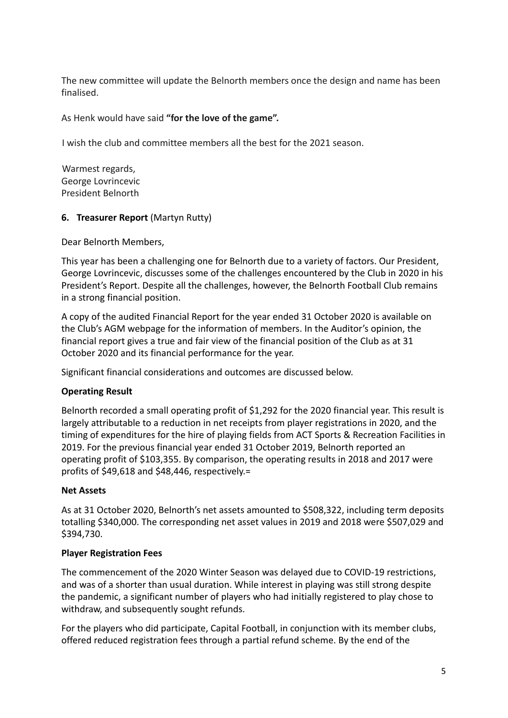The new committee will update the Belnorth members once the design and name has been finalised.

## As Henk would have said **"for the love of the game".**

I wish the club and committee members all the best for the 2021 season.

Warmest regards, George Lovrincevic President Belnorth

#### **6. Treasurer Report** (Martyn Rutty)

Dear Belnorth Members,

This year has been a challenging one for Belnorth due to a variety of factors. Our President, George Lovrincevic, discusses some of the challenges encountered by the Club in 2020 in his President's Report. Despite all the challenges, however, the Belnorth Football Club remains in a strong financial position.

A copy of the audited Financial Report for the year ended 31 October 2020 is available on the Club's AGM webpage for the information of members. In the Auditor's opinion, the financial report gives a true and fair view of the financial position of the Club as at 31 October 2020 and its financial performance for the year.

Significant financial considerations and outcomes are discussed below.

## **Operating Result**

Belnorth recorded a small operating profit of \$1,292 for the 2020 financial year. This result is largely attributable to a reduction in net receipts from player registrations in 2020, and the timing of expenditures for the hire of playing fields from ACT Sports & Recreation Facilities in 2019. For the previous financial year ended 31 October 2019, Belnorth reported an operating profit of \$103,355. By comparison, the operating results in 2018 and 2017 were profits of \$49,618 and \$48,446, respectively.=

#### **Net Assets**

As at 31 October 2020, Belnorth's net assets amounted to \$508,322, including term deposits totalling \$340,000. The corresponding net asset values in 2019 and 2018 were \$507,029 and \$394,730.

#### **Player Registration Fees**

The commencement of the 2020 Winter Season was delayed due to COVID-19 restrictions, and was of a shorter than usual duration. While interest in playing was still strong despite the pandemic, a significant number of players who had initially registered to play chose to withdraw, and subsequently sought refunds.

For the players who did participate, Capital Football, in conjunction with its member clubs, offered reduced registration fees through a partial refund scheme. By the end of the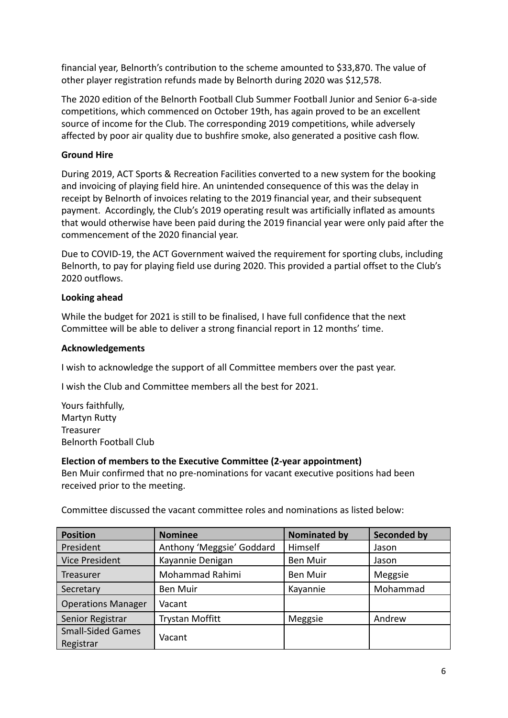financial year, Belnorth's contribution to the scheme amounted to \$33,870. The value of other player registration refunds made by Belnorth during 2020 was \$12,578.

The 2020 edition of the Belnorth Football Club Summer Football Junior and Senior 6-a-side competitions, which commenced on October 19th, has again proved to be an excellent source of income for the Club. The corresponding 2019 competitions, while adversely affected by poor air quality due to bushfire smoke, also generated a positive cash flow.

## **Ground Hire**

During 2019, ACT Sports & Recreation Facilities converted to a new system for the booking and invoicing of playing field hire. An unintended consequence of this was the delay in receipt by Belnorth of invoices relating to the 2019 financial year, and their subsequent payment. Accordingly, the Club's 2019 operating result was artificially inflated as amounts that would otherwise have been paid during the 2019 financial year were only paid after the commencement of the 2020 financial year.

Due to COVID-19, the ACT Government waived the requirement for sporting clubs, including Belnorth, to pay for playing field use during 2020. This provided a partial offset to the Club's 2020 outflows.

## **Looking ahead**

While the budget for 2021 is still to be finalised, I have full confidence that the next Committee will be able to deliver a strong financial report in 12 months' time.

## **Acknowledgements**

I wish to acknowledge the support of all Committee members over the past year.

I wish the Club and Committee members all the best for 2021.

Yours faithfully, Martyn Rutty Treasurer Belnorth Football Club

## **Election of members to the Executive Committee (2-year appointment)**

Ben Muir confirmed that no pre-nominations for vacant executive positions had been received prior to the meeting.

Committee discussed the vacant committee roles and nominations as listed below:

| <b>Position</b>           | <b>Nominee</b>            | <b>Nominated by</b> | <b>Seconded by</b> |
|---------------------------|---------------------------|---------------------|--------------------|
| President                 | Anthony 'Meggsie' Goddard | Himself             | Jason              |
| <b>Vice President</b>     | Kayannie Denigan          | <b>Ben Muir</b>     | Jason              |
| Treasurer                 | Mohammad Rahimi           | <b>Ben Muir</b>     | Meggsie            |
| Secretary                 | <b>Ben Muir</b>           | Kayannie            | Mohammad           |
| <b>Operations Manager</b> | Vacant                    |                     |                    |
| Senior Registrar          | <b>Trystan Moffitt</b>    | Meggsie             | Andrew             |
| <b>Small-Sided Games</b>  | Vacant                    |                     |                    |
| Registrar                 |                           |                     |                    |